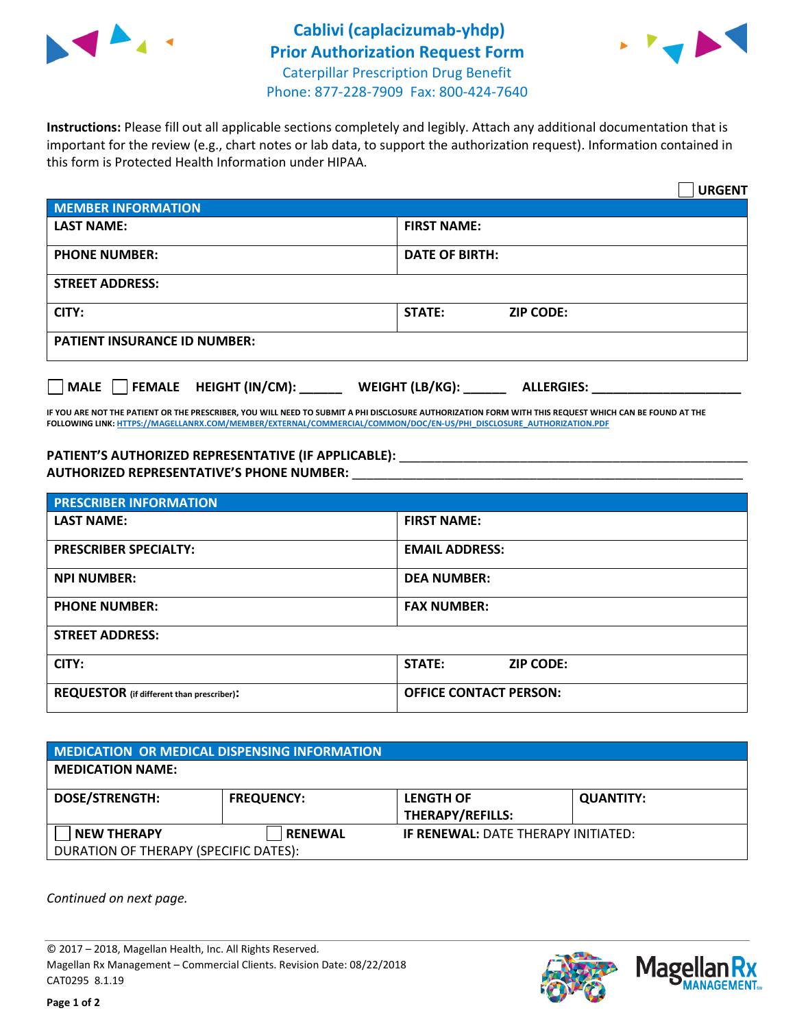



**Instructions:** Please fill out all applicable sections completely and legibly. Attach any additional documentation that is important for the review (e.g., chart notes or lab data, to support the authorization request). Information contained in this form is Protected Health Information under HIPAA.

|                                     | <b>URGENT</b>                        |  |  |  |
|-------------------------------------|--------------------------------------|--|--|--|
| <b>MEMBER INFORMATION</b>           |                                      |  |  |  |
| <b>LAST NAME:</b>                   | <b>FIRST NAME:</b>                   |  |  |  |
| <b>PHONE NUMBER:</b>                | <b>DATE OF BIRTH:</b>                |  |  |  |
| <b>STREET ADDRESS:</b>              |                                      |  |  |  |
| CITY:                               | <b>STATE:</b><br><b>ZIP CODE:</b>    |  |  |  |
| <b>PATIENT INSURANCE ID NUMBER:</b> |                                      |  |  |  |
| FEMALE HEIGHT (IN/CM):<br>   MALE   | WEIGHT (LB/KG):<br><b>ALLERGIES:</b> |  |  |  |

**IF YOU ARE NOT THE PATIENT OR THE PRESCRIBER, YOU WILL NEED TO SUBMIT A PHI DISCLOSURE AUTHORIZATION FORM WITH THIS REQUEST WHICH CAN BE FOUND AT THE FOLLOWING LINK[: HTTPS://MAGELLANRX.COM/MEMBER/EXTERNAL/COMMERCIAL/COMMON/DOC/EN-US/PHI\\_DISCLOSURE\\_AUTHORIZATION.PDF](https://magellanrx.com/member/external/commercial/common/doc/en-us/PHI_Disclosure_Authorization.pdf)**

PATIENT'S AUTHORIZED REPRESENTATIVE (IF APPLICABLE): \_\_\_\_\_\_\_\_\_\_\_\_\_\_\_\_\_\_\_\_\_\_\_\_\_\_\_ **AUTHORIZED REPRESENTATIVE'S PHONE NUMBER:** \_\_\_\_\_\_\_\_\_\_\_\_\_\_\_\_\_\_\_\_\_\_\_\_\_\_\_\_\_\_\_\_\_\_\_\_\_\_\_\_\_\_\_\_\_\_\_\_\_\_\_\_\_\_\_

| <b>PRESCRIBER INFORMATION</b>             |                                   |  |  |  |
|-------------------------------------------|-----------------------------------|--|--|--|
| <b>LAST NAME:</b>                         | <b>FIRST NAME:</b>                |  |  |  |
| <b>PRESCRIBER SPECIALTY:</b>              | <b>EMAIL ADDRESS:</b>             |  |  |  |
| <b>NPI NUMBER:</b>                        | <b>DEA NUMBER:</b>                |  |  |  |
| <b>PHONE NUMBER:</b>                      | <b>FAX NUMBER:</b>                |  |  |  |
| <b>STREET ADDRESS:</b>                    |                                   |  |  |  |
| CITY:                                     | <b>STATE:</b><br><b>ZIP CODE:</b> |  |  |  |
| REQUESTOR (if different than prescriber): | <b>OFFICE CONTACT PERSON:</b>     |  |  |  |

| <b>MEDICATION OR MEDICAL DISPENSING INFORMATION</b> |                   |                                            |                  |  |
|-----------------------------------------------------|-------------------|--------------------------------------------|------------------|--|
| <b>MEDICATION NAME:</b>                             |                   |                                            |                  |  |
| <b>DOSE/STRENGTH:</b>                               | <b>FREQUENCY:</b> | <b>LENGTH OF</b>                           | <b>QUANTITY:</b> |  |
|                                                     |                   | <b>THERAPY/REFILLS:</b>                    |                  |  |
| <b>NEW THERAPY</b>                                  | <b>RENEWAL</b>    | <b>IF RENEWAL: DATE THERAPY INITIATED:</b> |                  |  |
| DURATION OF THERAPY (SPECIFIC DATES):               |                   |                                            |                  |  |

*Continued on next page.*

© 2017 – 2018, Magellan Health, Inc. All Rights Reserved. Magellan Rx Management – Commercial Clients. Revision Date: 08/22/2018 CAT0295 8.1.19